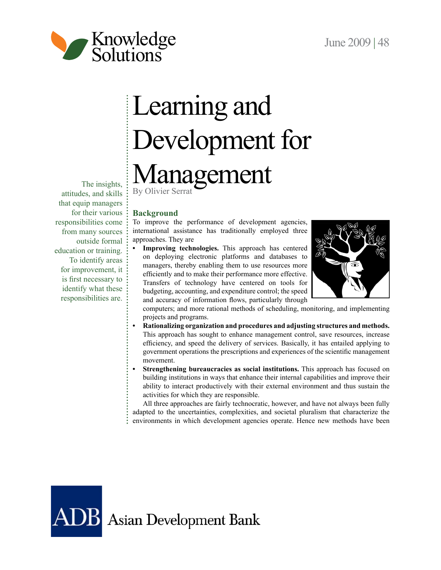

# Learning and Development for Management

By Olivier Serrat

# **Background**

To improve the performance of development agencies, international assistance has traditionally employed three approaches. They are

**Improving technologies.** This approach has centered on deploying electronic platforms and databases to managers, thereby enabling them to use resources more efficiently and to make their performance more effective. Transfers of technology have centered on tools for budgeting, accounting, and expenditure control; the speed and accuracy of information flows, particularly through



computers; and more rational methods of scheduling, monitoring, and implementing projects and programs.

- **• Rationalizing organization and procedures and adjusting structures and methods.** This approach has sought to enhance management control, save resources, increase efficiency, and speed the delivery of services. Basically, it has entailed applying to government operations the prescriptions and experiences of the scientific management movement.
- **Strengthening bureaucracies as social institutions.** This approach has focused on building institutions in ways that enhance their internal capabilities and improve their ability to interact productively with their external environment and thus sustain the activities for which they are responsible.

All three approaches are fairly technocratic, however, and have not always been fully adapted to the uncertainties, complexities, and societal pluralism that characterize the environments in which development agencies operate. Hence new methods have been



The insights, attitudes, and skills that equip managers for their various responsibilities come from many sources outside formal education or training. To identify areas for improvement, it is first necessary to identify what these responsibilities are.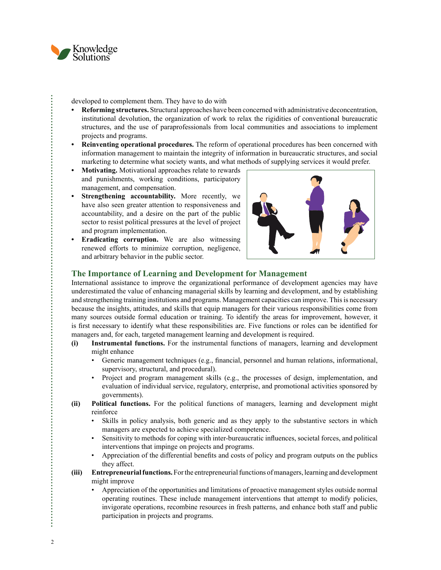

developed to complement them. They have to do with

- **Reforming structures.** Structural approaches have been concerned with administrative deconcentration, institutional devolution, the organization of work to relax the rigidities of conventional bureaucratic structures, and the use of paraprofessionals from local communities and associations to implement projects and programs.
- **Reinventing operational procedures.** The reform of operational procedures has been concerned with information management to maintain the integrity of information in bureaucratic structures, and social marketing to determine what society wants, and what methods of supplying services it would prefer.
- **Motivating.** Motivational approaches relate to rewards and punishments, working conditions, participatory management, and compensation.
- **Strengthening accountability.** More recently, we have also seen greater attention to responsiveness and accountability, and a desire on the part of the public sector to resist political pressures at the level of project and program implementation.
- **Eradicating corruption.** We are also witnessing renewed efforts to minimize corruption, negligence, and arbitrary behavior in the public sector.



## **The Importance of Learning and Development for Management**

International assistance to improve the organizational performance of development agencies may have underestimated the value of enhancing managerial skills by learning and development, and by establishing and strengthening training institutions and programs. Management capacities can improve. This is necessary because the insights, attitudes, and skills that equip managers for their various responsibilities come from many sources outside formal education or training. To identify the areas for improvement, however, it is first necessary to identify what these responsibilities are. Five functions or roles can be identified for managers and, for each, targeted management learning and development is required.

- **(i) Instrumental functions.** For the instrumental functions of managers, learning and development might enhance
	- Generic management techniques (e.g., financial, personnel and human relations, informational, supervisory, structural, and procedural).
	- Project and program management skills (e.g., the processes of design, implementation, and evaluation of individual service, regulatory, enterprise, and promotional activities sponsored by governments).
- **(ii) Political functions.** For the political functions of managers, learning and development might reinforce
	- Skills in policy analysis, both generic and as they apply to the substantive sectors in which managers are expected to achieve specialized competence.
	- Sensitivity to methods for coping with inter-bureaucratic influences, societal forces, and political interventions that impinge on projects and programs.
	- Appreciation of the differential benefits and costs of policy and program outputs on the publics they affect.
- **(iii)** Entrepreneurial functions. For the entrepreneurial functions of managers, learning and development might improve
	- Appreciation of the opportunities and limitations of proactive management styles outside normal operating routines. These include management interventions that attempt to modify policies, invigorate operations, recombine resources in fresh patterns, and enhance both staff and public participation in projects and programs.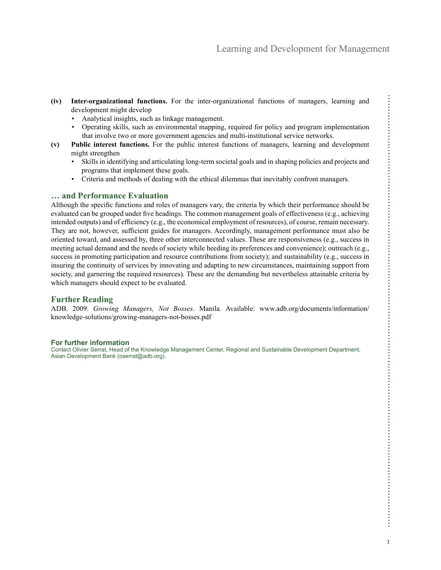- **(iv) Inter-organizational functions.** For the inter-organizational functions of managers, learning and development might develop
	- Analytical insights, such as linkage management.
	- Operating skills, such as environmental mapping, required for policy and program implementation that involve two or more government agencies and multi-institutional service networks.
- **(v) Public interest functions.** For the public interest functions of managers, learning and development might strengthen
	- Skills in identifying and articulating long-term societal goals and in shaping policies and projects and programs that implement these goals.
	- Criteria and methods of dealing with the ethical dilemmas that inevitably confront managers.

## **… and Performance Evaluation**

Although the specific functions and roles of managers vary, the criteria by which their performance should be evaluated can be grouped under five headings. The common management goals of effectiveness (e.g., achieving intended outputs) and of efficiency (e.g., the economical employment of resources), of course, remain necessary. They are not, however, sufficient guides for managers. Accordingly, management performance must also be oriented toward, and assessed by, three other interconnected values. These are responsiveness (e.g., success in meeting actual demand and the needs of society while heeding its preferences and convenience); outreach (e.g., success in promoting participation and resource contributions from society); and sustainability (e.g., success in insuring the continuity of services by innovating and adapting to new circumstances, maintaining support from society, and garnering the required resources). These are the demanding but nevertheless attainable criteria by which managers should expect to be evaluated.

### **Further Reading**

ADB. 2009. *[Growing Managers, Not Bosses](http://www.adb.org/documents/information/knowledge-solutions/growing-managers-not-bosses.pdf)*. Manila. Available: [www.adb.org/documents/information/](http://www.adb.org/documents/information/knowledge-solutions/growing-managers-not-bosses.pdf) [knowledge-solutions/growing-managers-not-bosses.pdf](http://www.adb.org/documents/information/knowledge-solutions/growing-managers-not-bosses.pdf)

#### **For further information**

Contact Olivier Serrat, Head of the Knowledge Management Center, Regional and Sustainable Development Department, Asian Development Bank (oserrat@adb.org).